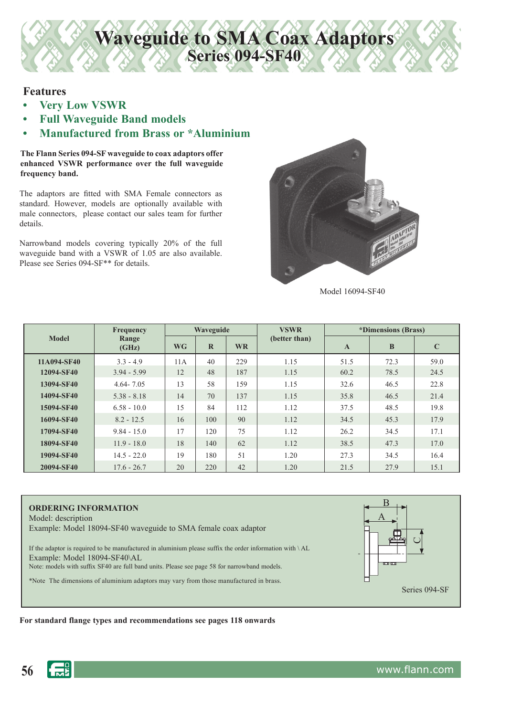## **Features**

- **Very Low VSWR**
- **Full Waveguide Band models**
- **Manufactured from Brass or \*Aluminium**

**The Flann Series 094-SF waveguide to coax adaptors offer enhanced VSWR performance over the full waveguide frequency band.**

The adaptors are fitted with SMA Female connectors as standard. However, models are optionally available with male connectors, please contact our sales team for further details.

Narrowband models covering typically 20% of the full waveguide band with a VSWR of 1.05 are also available. Please see Series 094-SF<sup>\*\*</sup> for details.



Model 16094-SF40

| <b>Model</b> | Frequency      | Waveguide |          |           | <b>VSWR</b>   | <i>*Dimensions (Brass)</i> |      |             |
|--------------|----------------|-----------|----------|-----------|---------------|----------------------------|------|-------------|
|              | Range<br>(GHz) | <b>WG</b> | $\bf{R}$ | <b>WR</b> | (better than) | $\mathbf{A}$               | B    | $\mathbf C$ |
| 11A094-SF40  | $3.3 - 4.9$    | 11A       | 40       | 229       | 1.15          | 51.5                       | 72.3 | 59.0        |
| 12094-SF40   | $3.94 - 5.99$  | 12        | 48       | 187       | 1.15          | 60.2                       | 78.5 | 24.5        |
| 13094-SF40   | $4.64 - 7.05$  | 13        | 58       | 159       | 1.15          | 32.6                       | 46.5 | 22.8        |
| 14094-SF40   | $5.38 - 8.18$  | 14        | 70       | 137       | 1.15          | 35.8                       | 46.5 | 21.4        |
| 15094-SF40   | $6.58 - 10.0$  | 15        | 84       | 112       | 1.12          | 37.5                       | 48.5 | 19.8        |
| 16094-SF40   | $8.2 - 12.5$   | 16        | 100      | 90        | 1.12          | 34.5                       | 45.3 | 17.9        |
| 17094-SF40   | $9.84 - 15.0$  | 17        | 120      | 75        | 1.12          | 26.2                       | 34.5 | 17.1        |
| 18094-SF40   | $11.9 - 18.0$  | 18        | 140      | 62        | 1.12          | 38.5                       | 47.3 | 17.0        |
| 19094-SF40   | $14.5 - 22.0$  | 19        | 180      | 51        | 1.20          | 27.3                       | 34.5 | 16.4        |
| 20094-SF40   | $17.6 - 26.7$  | 20        | 220      | 42        | 1.20          | 21.5                       | 27.9 | 15.1        |

**Waveguide to SMA Coax Adaptors**

**Series 094-SF40**

#### **ORDERING INFORMATION**

Model: description

Example: Model 18094-SF40 waveguide to SMA female coax adaptor

If the adaptor is required to be manufactured in aluminium please suffix the order information with \ AL Example: Model 18094-SF40\AL

Note: models with suffix SF40 are full band units. Please see page 58 for narrowband models.

\*Note The dimensions of aluminium adaptors may vary from those manufactured in brass.



#### For standard flange types and recommendations see pages 118 onwards